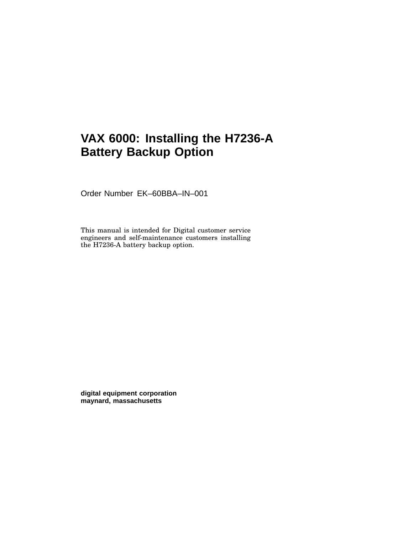# **VAX 6000: Installing the H7236-A Battery Backup Option**

Order Number EK–60BBA–IN–001

This manual is intended for Digital customer service engineers and self-maintenance customers installing the H7236-A battery backup option.

**digital equipment corporation maynard, massachusetts**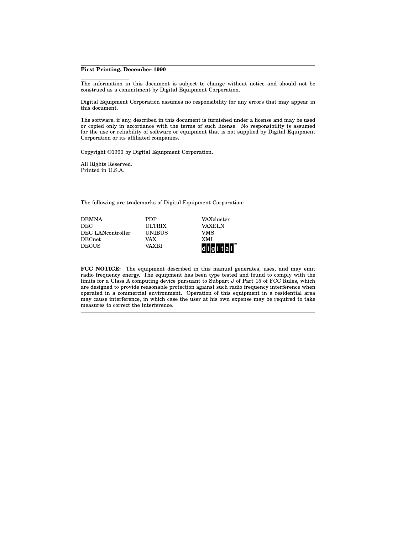#### **First Printing, December 1990**

The information in this document is subject to change without notice and should not be construed as a commitment by Digital Equipment Corporation.

Digital Equipment Corporation assumes no responsibility for any errors that may appear in this document.

The software, if any, described in this document is furnished under a license and may be used or copied only in accordance with the terms of such license. No responsibility is assumed for the use or reliability of software or equipment that is not supplied by Digital Equipment Corporation or its affiliated companies.

Copyright ©1990 by Digital Equipment Corporation.

All Rights Reserved. Printed in U.S.A.

The following are trademarks of Digital Equipment Corporation:

| <b>DEMNA</b>      | <b>PDP</b>    | VAXcluster           |
|-------------------|---------------|----------------------|
| DEC               | <b>ULTRIX</b> | <b>VAXELN</b>        |
| DEC LANcontroller | <b>UNIBUS</b> | VMS                  |
| DECnet            | VAX           | <b>XMI</b>           |
| <b>DECUS</b>      | VAXRI         | digital <sup>"</sup> |

**FCC NOTICE:** The equipment described in this manual generates, uses, and may emit radio frequency energy. The equipment has been type tested and found to comply with the limits for a Class A computing device pursuant to Subpart J of Part 15 of FCC Rules, which are designed to provide reasonable protection against such radio frequency interference when operated in a commercial environment. Operation of this equipment in a residential area may cause interference, in which case the user at his own expense may be required to take measures to correct the interference.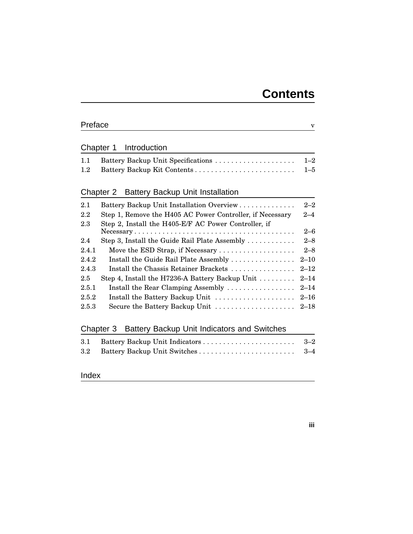| Preface |                                                                        | $\mathbf v$ |
|---------|------------------------------------------------------------------------|-------------|
|         | Introduction                                                           |             |
|         | Chapter 1                                                              |             |
| 1.1     |                                                                        | $1 - 2$     |
| 1.2     |                                                                        | $1 - 5$     |
|         | <b>Battery Backup Unit Installation</b><br>Chapter 2                   |             |
| 2.1     | Battery Backup Unit Installation Overview                              | $2 - 2$     |
| 2.2     | Step 1, Remove the H405 AC Power Controller, if Necessary              | $2 - 4$     |
| $2.3\,$ | Step 2, Install the H405-E/F AC Power Controller, if                   |             |
|         |                                                                        | $2 - 6$     |
| 2.4     | Step 3, Install the Guide Rail Plate Assembly $\dots \dots \dots$      | $2 - 8$     |
| 2.4.1   | Move the ESD Strap, if Necessary $\dots \dots \dots \dots \dots \dots$ | $2 - 8$     |
| 2.4.2   | Install the Guide Rail Plate Assembly                                  | $2 - 10$    |
| 2.4.3   | Install the Chassis Retainer Brackets                                  | $2 - 12$    |
| 2.5     | Step 4, Install the H7236-A Battery Backup Unit                        | $2 - 14$    |
| 2.5.1   | Install the Rear Clamping Assembly                                     | $2 - 14$    |
| 2.5.2   | Install the Battery Backup Unit                                        | $2 - 16$    |
| 2.5.3   | Secure the Battery Backup Unit                                         | $2 - 18$    |
|         |                                                                        |             |
|         | Battery Backup Unit Indicators and Switches<br>Chapter 3               |             |
| 3.1     |                                                                        | $3 - 2$     |
| $3.2\,$ |                                                                        | $^{3-4}$    |
|         |                                                                        |             |
| Index   |                                                                        |             |

#### **iii**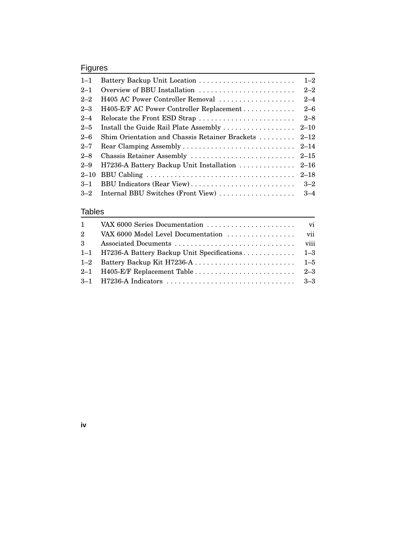## Figures

| $1 - 1$  |                                                      | $1 - 2$ |
|----------|------------------------------------------------------|---------|
| $2 - 1$  | Overview of BBU Installation                         | $2 - 2$ |
| $2 - 2$  | H405 AC Power Controller Removal                     | $2 - 4$ |
| $2 - 3$  | H405-E/F AC Power Controller Replacement             | $2 - 6$ |
| $2 - 4$  | Relocate the Front ESD Strap                         | $2 - 8$ |
| $2 - 5$  |                                                      |         |
| $2 - 6$  | Shim Orientation and Chassis Retainer Brackets  2-12 |         |
| $2 - 7$  |                                                      |         |
| $2 - 8$  |                                                      |         |
| $2 - 9$  | H7236-A Battery Backup Unit Installation  2–16       |         |
| $2 - 10$ |                                                      |         |
| $3 - 1$  | BBU Indicators (Rear View)                           | $3 - 2$ |
| $3 - 2$  | Internal BBU Switches (Front View)                   | $3 - 4$ |

#### Tables

**iv**

| $\mathbf{1}$ |                                                    |  |
|--------------|----------------------------------------------------|--|
| $2^{\circ}$  |                                                    |  |
| $\mathbf{3}$ |                                                    |  |
|              | 1-1 H7236-A Battery Backup Unit Specifications 1-3 |  |
|              |                                                    |  |
|              |                                                    |  |
|              |                                                    |  |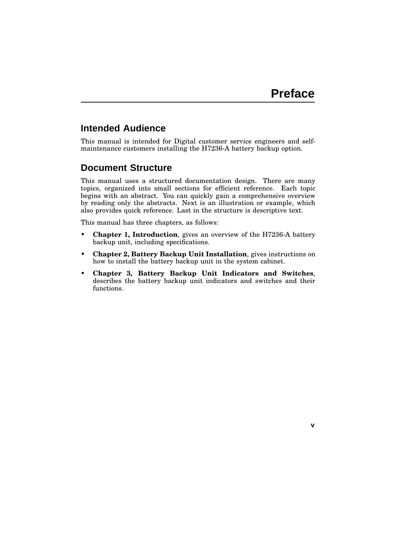**v**

## **Intended Audience**

This manual is intended for Digital customer service engineers and selfmaintenance customers installing the H7236-A battery backup option.

#### **Document Structure**

This manual uses a structured documentation design. There are many topics, organized into small sections for efficient reference. Each topic begins with an abstract. You can quickly gain a comprehensive overview by reading only the abstracts. Next is an illustration or example, which also provides quick reference. Last in the structure is descriptive text.

This manual has three chapters, as follows:

- **Chapter 1, Introduction**, gives an overview of the H7236-A battery backup unit, including specifications.
- **Chapter 2, Battery Backup Unit Installation**, gives instructions on how to install the battery backup unit in the system cabinet.
- **Chapter 3, Battery Backup Unit Indicators and Switches**, describes the battery backup unit indicators and switches and their functions.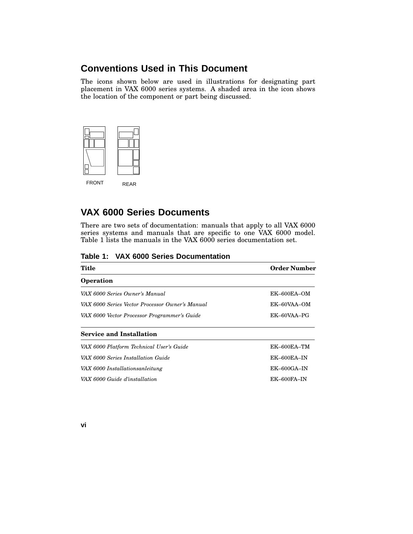## **Conventions Used in This Document**

The icons shown below are used in illustrations for designating part placement in VAX 6000 series systems. A shaded area in the icon shows the location of the component or part being discussed.



## **VAX 6000 Series Documents**

There are two sets of documentation: manuals that apply to all VAX 6000 series systems and manuals that are specific to one VAX 6000 model. Table 1 lists the manuals in the VAX 6000 series documentation set.

| Table 1: VAX 6000 Series Documentation |  |
|----------------------------------------|--|
|----------------------------------------|--|

| Title                                           | <b>Order Number</b> |  |
|-------------------------------------------------|---------------------|--|
| <b>Operation</b>                                |                     |  |
| VAX 6000 Series Owner's Manual                  | $EK-600EA-OM$       |  |
| VAX 6000 Series Vector Processor Owner's Manual | $EK=60VAA=OM$       |  |
| VAX 6000 Vector Processor Programmer's Guide    | EK-60VAA-PG         |  |
| <b>Service and Installation</b>                 |                     |  |
| VAX 6000 Platform Technical User's Guide        | $EK-600EA-TM$       |  |
| VAX 6000 Series Installation Guide              | $EK$ –600 $EA$ – IN |  |
| VAX 6000 Installationsanleitung                 | $EK$ -600GA-IN      |  |
| VAX 6000 Guide d'installation                   | EK-600FA-IN         |  |

**vi**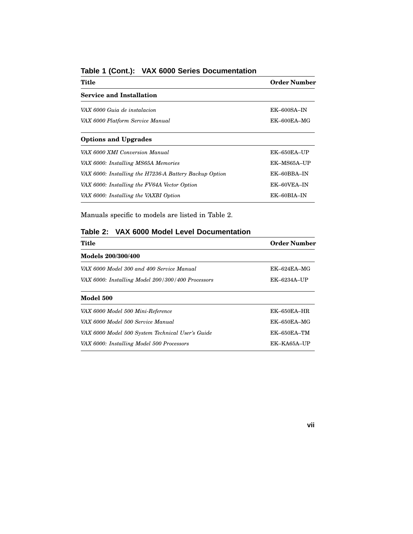| Title                                                  | <b>Order Number</b> |
|--------------------------------------------------------|---------------------|
| <b>Service and Installation</b>                        |                     |
| VAX 6000 Guia de instalacion                           | $EK$ -600SA-IN      |
| VAX 6000 Platform Service Manual                       | EK-600EA-MG         |
| <b>Options and Upgrades</b>                            |                     |
| VAX 6000 XMI Conversion Manual                         | EK-650EA-UP         |
| VAX 6000: Installing MS65A Memories                    | EK-MS65A-UP         |
| VAX 6000: Installing the H7236-A Battery Backup Option | EK-60BBA-IN         |
| VAX 6000: Installing the FV64A Vector Option           | EK-60VEA-IN         |
| VAX 6000: Installing the VAXBI Option                  | EK-60BIA-IN         |

#### **Table 1 (Cont.): VAX 6000 Series Documentation**

Manuals specific to models are listed in Table 2.

#### **Table 2: VAX 6000 Model Level Documentation**

| Title                                             | <b>Order Number</b> |  |
|---------------------------------------------------|---------------------|--|
| Models 200/300/400                                |                     |  |
| VAX 6000 Model 300 and 400 Service Manual         | $EK-624EA-MG$       |  |
| VAX 6000: Installing Model 200/300/400 Processors | EK-6234A-UP         |  |
| Model 500                                         |                     |  |
| VAX 6000 Model 500 Mini-Reference                 | $EK-650EA-HR$       |  |
| VAX 6000 Model 500 Service Manual                 | $EK-650EA-MG$       |  |
| VAX 6000 Model 500 System Technical User's Guide  | $EK-650EA-TM$       |  |
| VAX 6000: Installing Model 500 Processors         | EK-KA65A-UP         |  |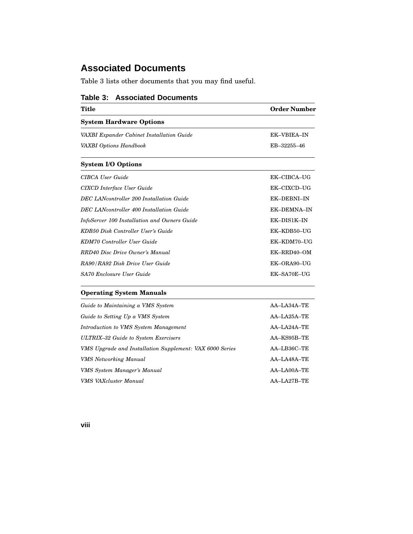## **Associated Documents**

Table 3 lists other documents that you may find useful.

| <b>Title</b>                                 | <b>Order Number</b> |  |
|----------------------------------------------|---------------------|--|
| <b>System Hardware Options</b>               |                     |  |
| VAXBI Expander Cabinet Installation Guide    | EK-VBIEA-IN         |  |
| VAXBI Options Handbook                       | EB-32255-46         |  |
| <b>System I/O Options</b>                    |                     |  |
| CIBCA User Guide                             | EK-CIBCA-UG         |  |
| CIXCD Interface User Guide                   | EK-CIXCD-UG         |  |
| DEC LANcontroller 200 Installation Guide     | EK-DEBNI-IN         |  |
| DEC LANcontroller 400 Installation Guide     | EK-DEMNA-IN         |  |
| InfoServer 100 Installation and Owners Guide | EK-DIS1K-IN         |  |
| KDB50 Disk Controller User's Guide           | EK-KDB50-UG         |  |
| KDM70 Controller User Guide                  | EK-KDM70-UG         |  |
| RRD40 Disc Drive Owner's Manual              | EK-RRD40-OM         |  |
| RA90/RA92 Disk Drive User Guide              | EK-ORA90-UG         |  |
| <b>SA70 Enclosure User Guide</b>             | EK-SA70E-UG         |  |

#### **Table 3: Associated Documents**

#### **Operating System Manuals**

| Guide to Maintaining a VMS System                        | $AA-LA34A-TE$      |
|----------------------------------------------------------|--------------------|
| Guide to Setting Up a VMS System                         | $AA-I.A25A-TE$     |
| Introduction to VMS System Management                    | $AA-I$ , $A24A-TE$ |
| ULTRIX-32 Guide to System Exercisers                     | AA-KS95B-TE        |
| VMS Upgrade and Installation Supplement: VAX 6000 Series | $AA-LB36C-TE$      |
| <b>VMS</b> Networking Manual                             | $AA-I$ , $A48A-TE$ |
| VMS System Manager's Manual                              | $AA-LAO0A-TE$      |
| <b>VMS VAXcluster Manual</b>                             | $AA$ -LA27B-TE     |

**viii**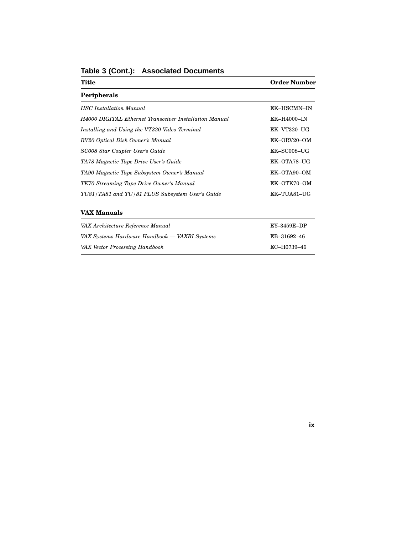| Title                                                         | <b>Order Number</b> |
|---------------------------------------------------------------|---------------------|
| <b>Peripherals</b>                                            |                     |
| <b>HSC</b> Installation Manual                                | EK-HSCMN-IN         |
| <b>H4000 DIGITAL Ethernet Transceiver Installation Manual</b> | EK-H4000-IN         |
| Installing and Using the VT320 Video Terminal                 | EK-VT320-UG         |
| RV20 Optical Disk Owner's Manual                              | EK-ORV20-OM         |
| SC008 Star Coupler User's Guide                               | EK-SC008-UG         |
| TA78 Magnetic Tape Drive User's Guide                         | EK-OTA78-UG         |
| TA90 Magnetic Tape Subsystem Owner's Manual                   | EK-OTA90-OM         |
| TK70 Streaming Tape Drive Owner's Manual                      | EK-OTK70-OM         |
| TU81/TA81 and TU/81 PLUS Subsystem User's Guide               | EK-TUA81-UG         |
| <b>VAX Manuals</b>                                            |                     |
| VAX Architecture Reference Manual                             | EY-3459E-DP         |
| VAX Systems Hardware Handbook — VAXBI Systems                 | EB-31692-46         |
| VAX Vector Processing Handbook                                | EC-H0739-46         |

**Table 3 (Cont.): Associated Documents**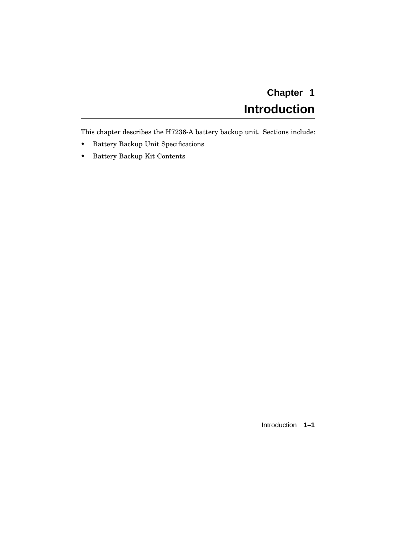# **Chapter 1 Introduction**

This chapter describes the H7236-A battery backup unit. Sections include:

- Battery Backup Unit Specifications
- Battery Backup Kit Contents

Introduction **1–1**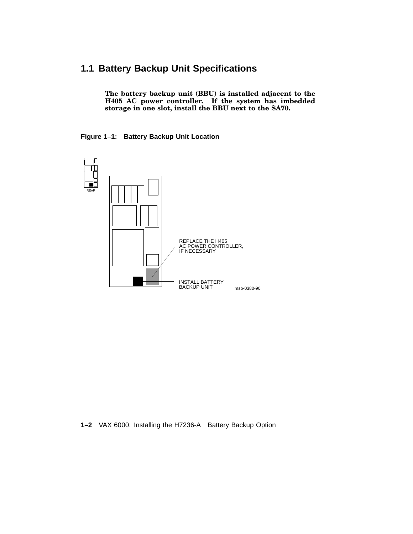# **1.1 Battery Backup Unit Specifications**

**The battery backup unit (BBU) is installed adjacent to the H405 AC power controller. If the system has imbedded storage in one slot, install the BBU next to the SA70.**

#### **Figure 1–1: Battery Backup Unit Location**



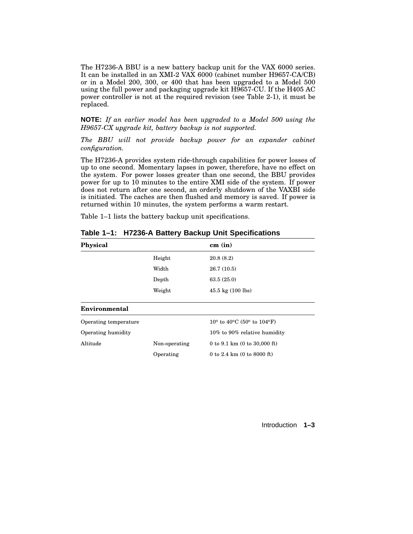The H7236-A BBU is a new battery backup unit for the VAX 6000 series. It can be installed in an XMI-2 VAX 6000 (cabinet number H9657-CA/CB) or in a Model 200, 300, or 400 that has been upgraded to a Model 500 using the full power and packaging upgrade kit H9657-CU. If the H405 AC power controller is not at the required revision (see Table 2-1), it must be replaced.

**NOTE:** *If an earlier model has been upgraded to a Model 500 using the H9657-CX upgrade kit, battery backup is not supported.*

*The BBU will not provide backup power for an expander cabinet configuration.*

The H7236-A provides system ride-through capabilities for power losses of up to one second. Momentary lapses in power, therefore, have no effect on the system. For power losses greater than one second, the BBU provides power for up to 10 minutes to the entire XMI side of the system. If power does not return after one second, an orderly shutdown of the VAXBI side is initiated. The caches are then flushed and memory is saved. If power is returned within 10 minutes, the system performs a warm restart.

Table 1–1 lists the battery backup unit specifications.

| Physical              |               | cm (in)                                                           |
|-----------------------|---------------|-------------------------------------------------------------------|
|                       | Height        | 20.8(8.2)                                                         |
|                       | Width         | 26.7(10.5)                                                        |
|                       | Depth         | 63.5(25.0)                                                        |
|                       | Weight        | $45.5 \text{ kg}$ (100 lbs)                                       |
| Environmental         |               |                                                                   |
| Operating temperature |               | $10^{\circ}$ to $40^{\circ}$ C (50 $^{\circ}$ to $104^{\circ}$ F) |
| Operating humidity    |               | 10% to 90% relative humidity                                      |
| Altitude              | Non-operating | 0 to 9.1 km $(0 \text{ to } 30,000 \text{ ft})$                   |
|                       | Operating     | 0 to 2.4 km (0 to 8000 ft)                                        |

**Table 1–1: H7236-A Battery Backup Unit Specifications**

Introduction **1–3**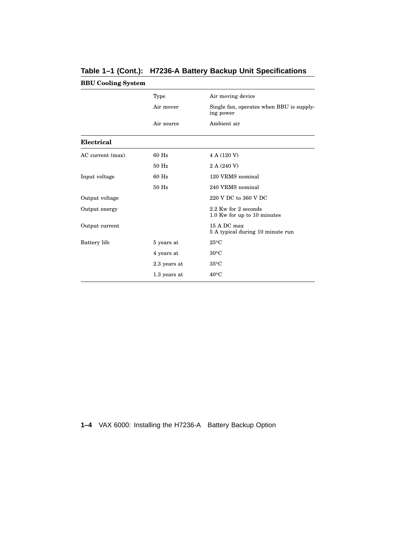| <b>BBU Cooling System</b> |              |                                                       |
|---------------------------|--------------|-------------------------------------------------------|
|                           | Type         | Air moving device                                     |
|                           | Air mover    | Single fan, operates when BBU is supply-<br>ing power |
|                           | Air source   | Ambient air                                           |
| Electrical                |              |                                                       |
| AC current (max)          | 60 Hz        | 4 A (120 V)                                           |
|                           | 50 Hz        | 2 A (240 V)                                           |
| Input voltage             | 60 Hz        | 120 VRMS nominal                                      |
|                           | 50 Hz        | 240 VRMS nominal                                      |
| Output voltage            |              | 220 V DC to 360 V DC                                  |
| Output energy             |              | 2.2 Kw for 2 seconds<br>1.0 Kw for up to 10 minutes   |
| Output current            |              | 15 A DC max<br>5 A typical during 10 minute run       |
| Battery life              | 5 years at   | $25^{\circ}$ C                                        |
|                           | 4 years at   | $30^{\circ}$ C                                        |
|                           | 2.3 years at | $35^{\circ}$ C                                        |
|                           | 1.3 years at | $40^{\circ}$ C                                        |

**Table 1–1 (Cont.): H7236-A Battery Backup Unit Specifications**

**1–4** VAX 6000: Installing the H7236-A Battery Backup Option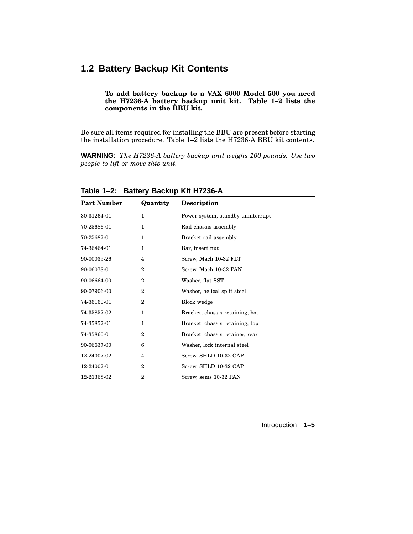## **1.2 Battery Backup Kit Contents**

#### **To add battery backup to a VAX 6000 Model 500 you need the H7236-A battery backup unit kit. Table 1–2 lists the components in the BBU kit.**

Be sure all items required for installing the BBU are present before starting the installation procedure. Table 1–2 lists the H7236-A BBU kit contents.

**WARNING:** *The H7236-A battery backup unit weighs 100 pounds. Use two people to lift or move this unit.*

| <b>Part Number</b> | Quantity       | <b>Description</b>                |
|--------------------|----------------|-----------------------------------|
| 30-31264-01        | 1              | Power system, standby uninterrupt |
| 70-25686-01        | 1              | Rail chassis assembly             |
| 70-25687-01        | 1              | Bracket rail assembly             |
| 74-36464-01        | 1              | Bar, insert nut                   |
| 90-00039-26        | 4              | Screw, Mach 10-32 FLT             |
| 90-06078-01        | $\mathbf{2}$   | Screw, Mach 10-32 PAN             |
| 90-06664-00        | $\mathbf{2}$   | Washer, flat SST                  |
| 90-07906-00        | $\overline{2}$ | Washer, helical split steel       |
| 74-36160-01        | $\overline{2}$ | Block wedge                       |
| 74-35857-02        | 1              | Bracket, chassis retaining, bot   |
| 74-35857-01        | $\mathbf{1}$   | Bracket, chassis retaining, top   |
| 74-35860-01        | $\overline{2}$ | Bracket, chassis retainer, rear   |
| 90-06637-00        | 6              | Washer, lock internal steel       |
| 12-24007-02        | $\overline{4}$ | Screw, SHLD 10-32 CAP             |
| 12-24007-01        | $\mathbf{2}$   | Screw, SHLD 10-32 CAP             |
| 12-21368-02        | $\overline{2}$ | Screw, sems 10-32 PAN             |

**Table 1–2: Battery Backup Kit H7236-A**

Introduction **1–5**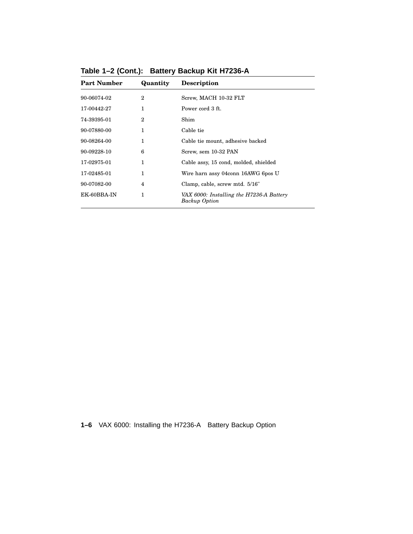| <b>Part Number</b> | Quantity     | <b>Description</b>                                               |
|--------------------|--------------|------------------------------------------------------------------|
| 90-06074-02        | $\mathbf{2}$ | Screw, MACH 10-32 FLT                                            |
| 17-00442-27        | 1            | Power cord 3 ft.                                                 |
| 74-39395-01        | 2            | Shim                                                             |
| 90-07880-00        | 1            | Cable tie                                                        |
| 90-08264-00        | 1            | Cable tie mount, adhesive backed                                 |
| 90-09228-10        | 6            | Screw, sem 10-32 PAN                                             |
| 17-02975-01        | 1            | Cable assy, 15 cond, molded, shielded                            |
| 17-02485-01        | 1            | Wire harn assy 04conn 16AWG 6pos U                               |
| 90-07082-00        | 4            | Clamp, cable, screw mtd. 5/16"                                   |
| EK-60BBA-IN        | 1            | VAX 6000: Installing the H7236-A Battery<br><b>Backup Option</b> |

**Table 1–2 (Cont.): Battery Backup Kit H7236-A**

**1–6** VAX 6000: Installing the H7236-A Battery Backup Option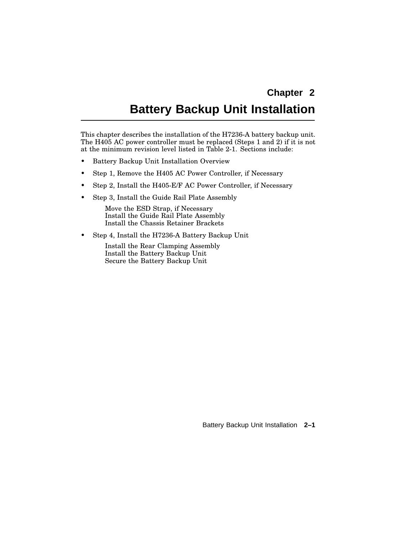# **Chapter 2**

# **Battery Backup Unit Installation**

This chapter describes the installation of the H7236-A battery backup unit. The H405 AC power controller must be replaced (Steps 1 and 2) if it is not at the minimum revision level listed in Table 2-1. Sections include:

- Battery Backup Unit Installation Overview
- Step 1, Remove the H405 AC Power Controller, if Necessary
- Step 2, Install the H405-E/F AC Power Controller, if Necessary
- Step 3, Install the Guide Rail Plate Assembly

Move the ESD Strap, if Necessary Install the Guide Rail Plate Assembly Install the Chassis Retainer Brackets

• Step 4, Install the H7236-A Battery Backup Unit

Install the Rear Clamping Assembly Install the Battery Backup Unit Secure the Battery Backup Unit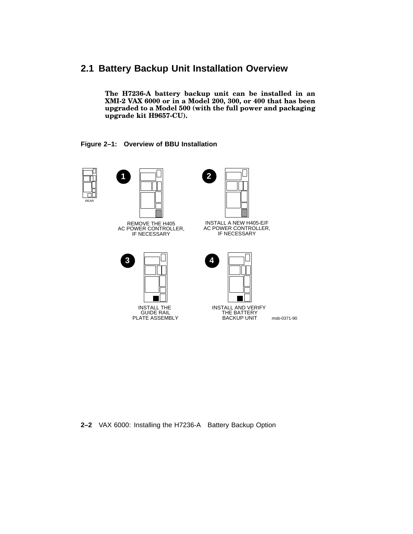## **2.1 Battery Backup Unit Installation Overview**

**The H7236-A battery backup unit can be installed in an XMI-2 VAX 6000 or in a Model 200, 300, or 400 that has been upgraded to a Model 500 (with the full power and packaging upgrade kit H9657-CU).**

#### **Figure 2–1: Overview of BBU Installation**







INSTALL A NEW H405-E/F AC POWER CONTROLLER, IF NECESSARY



INSTALL THE GUIDE RAIL PLATE ASSEMBLY



INSTALL AND VERIFY THE BATTERY BACKUP UNIT

msb-0371-90

#### **2–2** VAX 6000: Installing the H7236-A Battery Backup Option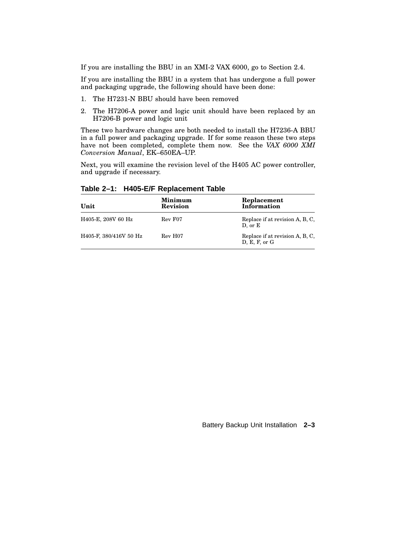If you are installing the BBU in an XMI-2 VAX 6000, go to Section 2.4.

If you are installing the BBU in a system that has undergone a full power and packaging upgrade, the following should have been done:

- 1. The H7231-N BBU should have been removed
- 2. The H7206-A power and logic unit should have been replaced by an H7206-B power and logic unit

These two hardware changes are both needed to install the H7236-A BBU in a full power and packaging upgrade. If for some reason these two steps have not been completed, complete them now. See the *VAX 6000 XMI Conversion Manual*, EK–650EA–UP.

Next, you will examine the revision level of the H405 AC power controller, and upgrade if necessary.

| Unit                   | Minimum<br><b>Revision</b> | Replacement<br>Information                       |
|------------------------|----------------------------|--------------------------------------------------|
| H405-E, 208V 60 Hz     | Rev F07                    | Replace if at revision A, B, C,<br>$D,$ or $E$   |
| H405-F, 380/416V 50 Hz | Rev H07                    | Replace if at revision A, B, C,<br>D, E, F, or G |

**Table 2–1: H405-E/F Replacement Table**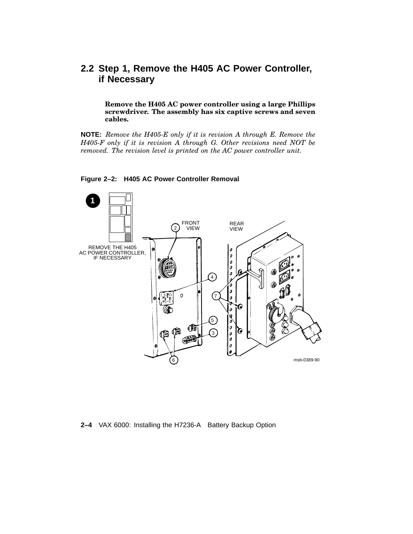## **2.2 Step 1, Remove the H405 AC Power Controller, if Necessary**

**Remove the H405 AC power controller using a large Phillips screwdriver. The assembly has six captive screws and seven cables.**

**NOTE:** *Remove the H405-E only if it is revision A through E. Remove the H405-F only if it is revision A through G. Other revisions need NOT be removed. The revision level is printed on the AC power controller unit.*



#### **Figure 2–2: H405 AC Power Controller Removal**

**2–4** VAX 6000: Installing the H7236-A Battery Backup Option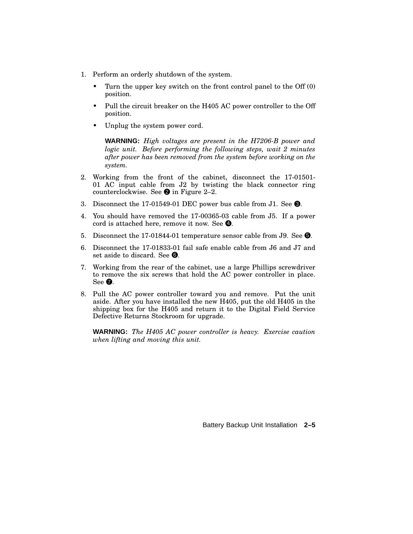- 1. Perform an orderly shutdown of the system.
	- Turn the upper key switch on the front control panel to the Off (0) position.
	- Pull the circuit breaker on the H405 AC power controller to the Off position.
	- Unplug the system power cord.

**WARNING:** *High voltages are present in the H7206-B power and logic unit. Before performing the following steps, wait 2 minutes after power has been removed from the system before working on the system.*

- 2. Working from the front of the cabinet, disconnect the 17-01501- 01 AC input cable from J2 by twisting the black connector ring counterclockwise. See  $\bullet$  in Figure 2–2.
- 3. Disconnect the 17-01549-01 DEC power bus cable from J1. See  $\bigcirc$ .
- 4. You should have removed the 17-00365-03 cable from J5. If a power cord is attached here, remove it now. See  $\bullet$ .
- 5. Disconnect the 17-01844-01 temperature sensor cable from J9. See  $\Theta$ .
- 6. Disconnect the 17-01833-01 fail safe enable cable from J6 and J7 and set aside to discard. See  $\odot$ .
- 7. Working from the rear of the cabinet, use a large Phillips screwdriver to remove the six screws that hold the AC power controller in place. See  $\odot$ .
- 8. Pull the AC power controller toward you and remove. Put the unit aside. After you have installed the new H405, put the old H405 in the shipping box for the H405 and return it to the Digital Field Service Defective Returns Stockroom for upgrade.

**WARNING:** *The H405 AC power controller is heavy. Exercise caution when lifting and moving this unit.*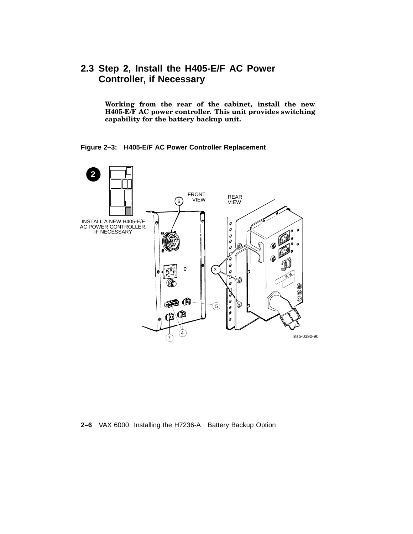## **2.3 Step 2, Install the H405-E/F AC Power Controller, if Necessary**

**Working from the rear of the cabinet, install the new H405-E/F AC power controller. This unit provides switching capability for the battery backup unit.**

**Figure 2–3: H405-E/F AC Power Controller Replacement**



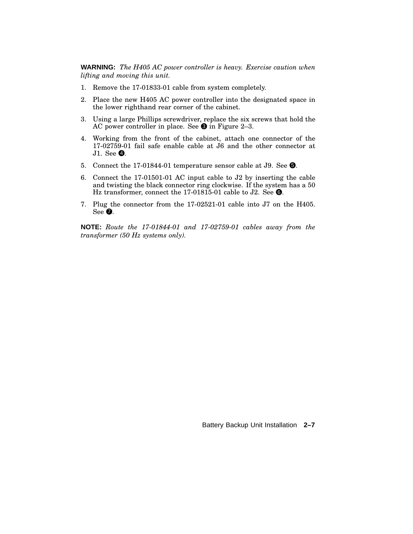**WARNING:** *The H405 AC power controller is heavy. Exercise caution when lifting and moving this unit.*

- 1. Remove the 17-01833-01 cable from system completely.
- 2. Place the new H405 AC power controller into the designated space in the lower righthand rear corner of the cabinet.
- 3. Using a large Phillips screwdriver, replace the six screws that hold the AC power controller in place. See  $\bullet$  in Figure 2–3.
- 4. Working from the front of the cabinet, attach one connector of the 17-02759-01 fail safe enable cable at J6 and the other connector at J1. See  $\mathbf{Q}$ .
- 5. Connect the 17-01844-01 temperature sensor cable at J9. See  $\Theta$ .
- 6. Connect the 17-01501-01 AC input cable to J2 by inserting the cable and twisting the black connector ring clockwise. If the system has a 50 Hz transformer, connect the 17-01815-01 cable to J2. See  $\Theta$ .
- 7. Plug the connector from the 17-02521-01 cable into J7 on the H405. See  $\odot$ .

**NOTE:** *Route the 17-01844-01 and 17-02759-01 cables away from the transformer (50 Hz systems only).*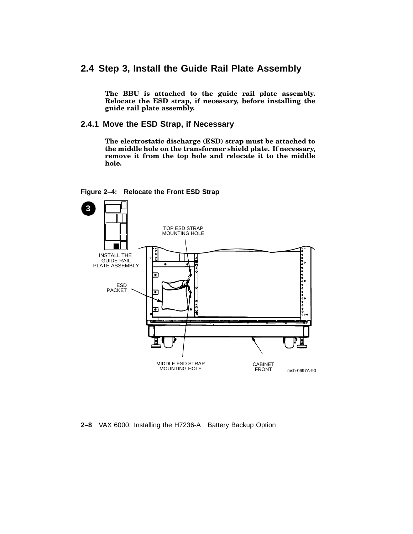## **2.4 Step 3, Install the Guide Rail Plate Assembly**

**The BBU is attached to the guide rail plate assembly. Relocate the ESD strap, if necessary, before installing the guide rail plate assembly.**

**2.4.1 Move the ESD Strap, if Necessary**

**The electrostatic discharge (ESD) strap must be attached to the middle hole on the transformer shield plate. If necessary, remove it from the top hole and relocate it to the middle hole.**





#### **2–8** VAX 6000: Installing the H7236-A Battery Backup Option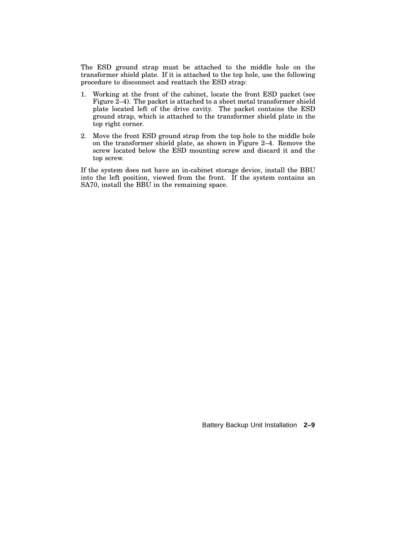The ESD ground strap must be attached to the middle hole on the transformer shield plate. If it is attached to the top hole, use the following procedure to disconnect and reattach the ESD strap:

- 1. Working at the front of the cabinet, locate the front ESD packet (see Figure 2–4). The packet is attached to a sheet metal transformer shield plate located left of the drive cavity. The packet contains the ESD ground strap, which is attached to the transformer shield plate in the top right corner.
- 2. Move the front ESD ground strap from the top hole to the middle hole on the transformer shield plate, as shown in Figure 2–4. Remove the screw located below the ESD mounting screw and discard it and the top screw.

If the system does not have an in-cabinet storage device, install the BBU into the left position, viewed from the front. If the system contains an SA70, install the BBU in the remaining space.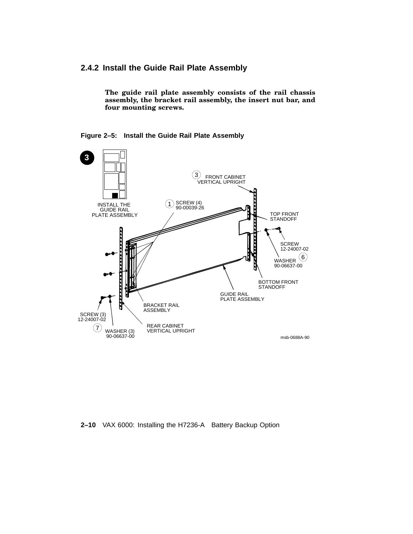#### **2.4.2 Install the Guide Rail Plate Assembly**

**The guide rail plate assembly consists of the rail chassis assembly, the bracket rail assembly, the insert nut bar, and four mounting screws.**





**2–10** VAX 6000: Installing the H7236-A Battery Backup Option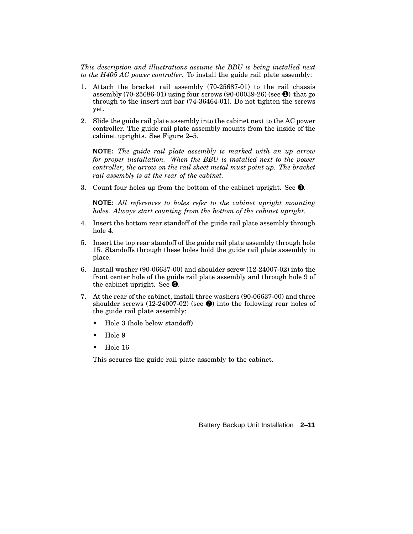*This description and illustrations assume the BBU is being installed next to the H405 AC power controller.* To install the guide rail plate assembly:

- 1. Attach the bracket rail assembly (70-25687-01) to the rail chassis assembly (70-25686-01) using four screws (90-00039-26) (see  $\bullet$ ) that go through to the insert nut bar (74-36464-01). Do not tighten the screws yet.
- 2. Slide the guide rail plate assembly into the cabinet next to the AC power controller. The guide rail plate assembly mounts from the inside of the cabinet uprights. See Figure 2–5.

**NOTE:** *The guide rail plate assembly is marked with an up arrow for proper installation. When the BBU is installed next to the power controller, the arrow on the rail sheet metal must point up. The bracket rail assembly is at the rear of the cabinet.*

3. Count four holes up from the bottom of the cabinet upright. See  $\bigcirc$ .

**NOTE:** *All references to holes refer to the cabinet upright mounting holes. Always start counting from the bottom of the cabinet upright.*

- 4. Insert the bottom rear standoff of the guide rail plate assembly through hole 4.
- 5. Insert the top rear standoff of the guide rail plate assembly through hole 15. Standoffs through these holes hold the guide rail plate assembly in place.
- 6. Install washer (90-06637-00) and shoulder screw (12-24007-02) into the front center hole of the guide rail plate assembly and through hole 9 of the cabinet upright. See  $\mathbf{\Theta}$ .
- 7. At the rear of the cabinet, install three washers (90-06637-00) and three shoulder screws (12-24007-02) (see  $\bullet$ ) into the following rear holes of the guide rail plate assembly:
	- Hole 3 (hole below standoff)
	- Hole 9
	- Hole 16

This secures the guide rail plate assembly to the cabinet.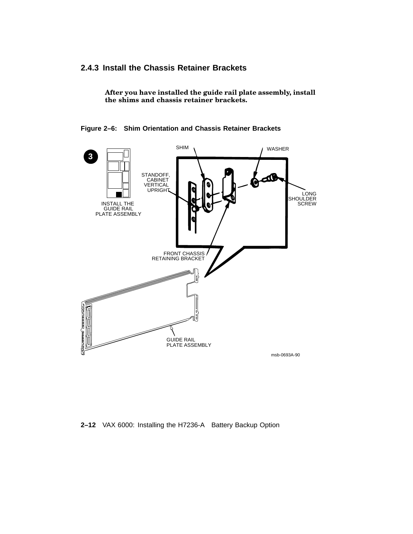## **2.4.3 Install the Chassis Retainer Brackets**

**After you have installed the guide rail plate assembly, install the shims and chassis retainer brackets.**

**Figure 2–6: Shim Orientation and Chassis Retainer Brackets**



**2–12** VAX 6000: Installing the H7236-A Battery Backup Option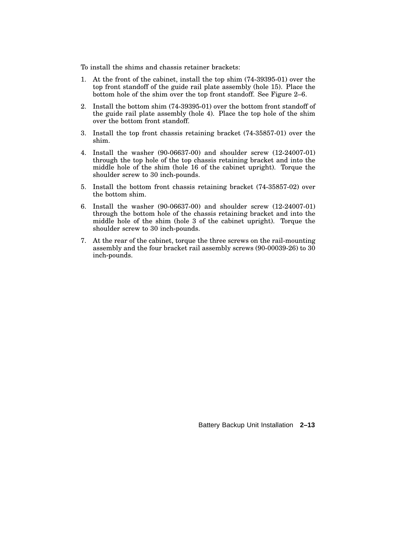To install the shims and chassis retainer brackets:

- 1. At the front of the cabinet, install the top shim (74-39395-01) over the top front standoff of the guide rail plate assembly (hole 15). Place the bottom hole of the shim over the top front standoff. See Figure 2–6.
- 2. Install the bottom shim (74-39395-01) over the bottom front standoff of the guide rail plate assembly (hole 4). Place the top hole of the shim over the bottom front standoff.
- 3. Install the top front chassis retaining bracket (74-35857-01) over the shim.
- 4. Install the washer (90-06637-00) and shoulder screw (12-24007-01) through the top hole of the top chassis retaining bracket and into the middle hole of the shim (hole 16 of the cabinet upright). Torque the shoulder screw to 30 inch-pounds.
- 5. Install the bottom front chassis retaining bracket (74-35857-02) over the bottom shim.
- 6. Install the washer (90-06637-00) and shoulder screw (12-24007-01) through the bottom hole of the chassis retaining bracket and into the middle hole of the shim (hole 3 of the cabinet upright). Torque the shoulder screw to 30 inch-pounds.
- 7. At the rear of the cabinet, torque the three screws on the rail-mounting assembly and the four bracket rail assembly screws (90-00039-26) to 30 inch-pounds.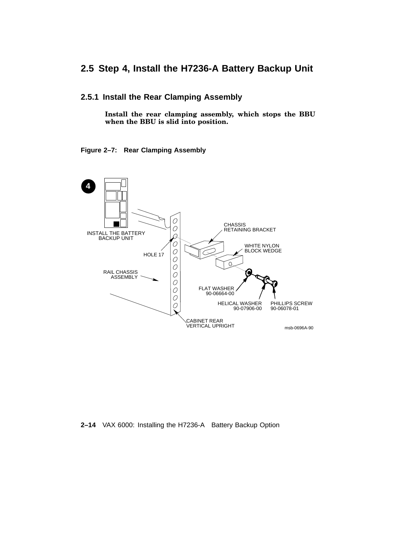## **2.5 Step 4, Install the H7236-A Battery Backup Unit**

#### **2.5.1 Install the Rear Clamping Assembly**

**Install the rear clamping assembly, which stops the BBU when the BBU is slid into position.**

#### **Figure 2–7: Rear Clamping Assembly**



**2–14** VAX 6000: Installing the H7236-A Battery Backup Option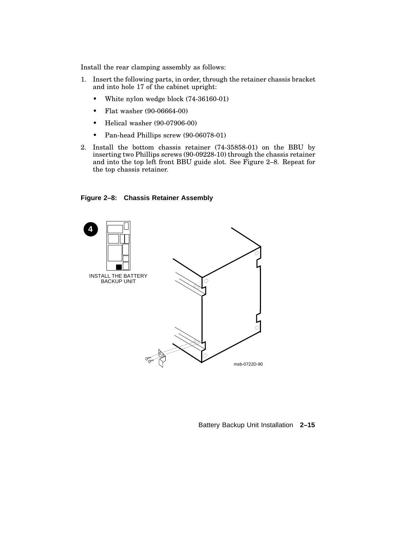Install the rear clamping assembly as follows:

- 1. Insert the following parts, in order, through the retainer chassis bracket and into hole 17 of the cabinet upright:
	- White nylon wedge block (74-36160-01)
	- Flat washer (90-06664-00)
	- Helical washer (90-07906-00)
	- Pan-head Phillips screw (90-06078-01)
- 2. Install the bottom chassis retainer (74-35858-01) on the BBU by inserting two Phillips screws (90-09228-10) through the chassis retainer and into the top left front BBU guide slot. See Figure 2–8. Repeat for the top chassis retainer.





Battery Backup Unit Installation **2–15**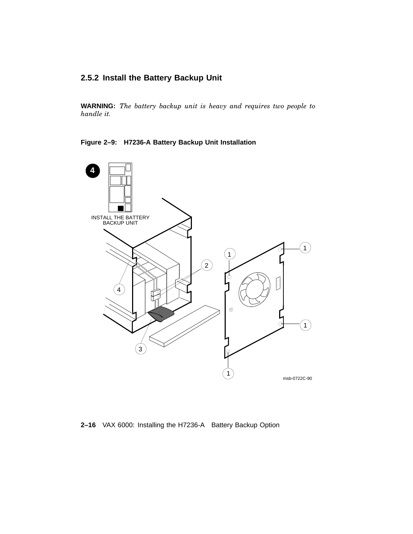#### **2.5.2 Install the Battery Backup Unit**

**WARNING:** *The battery backup unit is heavy and requires two people to handle it.*

**Figure 2–9: H7236-A Battery Backup Unit Installation**



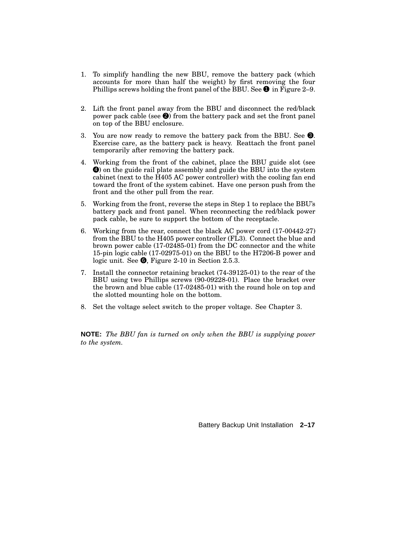- 1. To simplify handling the new BBU, remove the battery pack (which accounts for more than half the weight) by first removing the four Phillips screws holding the front panel of the BBU. See  $\bullet$  in Figure 2–9.
- 2. Lift the front panel away from the BBU and disconnect the red/black power pack cable (see  $\bigcirc$ ) from the battery pack and set the front panel on top of the BBU enclosure.
- 3. You are now ready to remove the battery pack from the BBU. See  $\bigcirc$ . Exercise care, as the battery pack is heavy. Reattach the front panel temporarily after removing the battery pack.
- 4. Working from the front of the cabinet, place the BBU guide slot (see 4 ) on the guide rail plate assembly and guide the BBU into the system cabinet (next to the H405 AC power controller) with the cooling fan end toward the front of the system cabinet. Have one person push from the front and the other pull from the rear.
- 5. Working from the front, reverse the steps in Step 1 to replace the BBU's battery pack and front panel. When reconnecting the red/black power pack cable, be sure to support the bottom of the receptacle.
- 6. Working from the rear, connect the black AC power cord (17-00442-27) from the BBU to the H405 power controller (FL3). Connect the blue and brown power cable (17-02485-01) from the DC connector and the white 15-pin logic cable (17-02975-01) on the BBU to the H7206-B power and logic unit. See  $\bullet$ , Figure 2-10 in Section 2.5.3.
- 7. Install the connector retaining bracket (74-39125-01) to the rear of the BBU using two Phillips screws (90-09228-01). Place the bracket over the brown and blue cable (17-02485-01) with the round hole on top and the slotted mounting hole on the bottom.
- 8. Set the voltage select switch to the proper voltage. See Chapter 3.

**NOTE:** *The BBU fan is turned on only when the BBU is supplying power to the system.*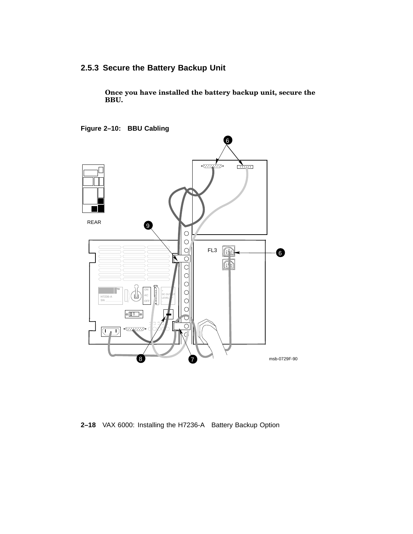## **2.5.3 Secure the Battery Backup Unit**

**Once you have installed the battery backup unit, secure the BBU.**

**Figure 2–10: BBU Cabling**



**2–18** VAX 6000: Installing the H7236-A Battery Backup Option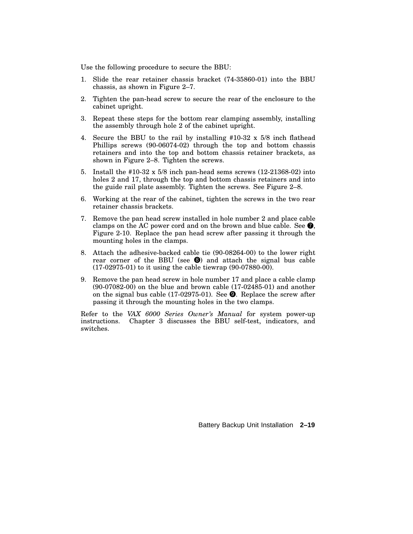Use the following procedure to secure the BBU:

- 1. Slide the rear retainer chassis bracket (74-35860-01) into the BBU chassis, as shown in Figure 2–7.
- 2. Tighten the pan-head screw to secure the rear of the enclosure to the cabinet upright.
- 3. Repeat these steps for the bottom rear clamping assembly, installing the assembly through hole 2 of the cabinet upright.
- 4. Secure the BBU to the rail by installing #10-32 x 5/8 inch flathead Phillips screws (90-06074-02) through the top and bottom chassis retainers and into the top and bottom chassis retainer brackets, as shown in Figure 2–8. Tighten the screws.
- 5. Install the #10-32 x 5/8 inch pan-head sems screws (12-21368-02) into holes 2 and 17, through the top and bottom chassis retainers and into the guide rail plate assembly. Tighten the screws. See Figure 2–8.
- 6. Working at the rear of the cabinet, tighten the screws in the two rear retainer chassis brackets.
- 7. Remove the pan head screw installed in hole number 2 and place cable clamps on the AC power cord and on the brown and blue cable. See  $\bullet$ , Figure 2-10. Replace the pan head screw after passing it through the mounting holes in the clamps.
- 8. Attach the adhesive-backed cable tie (90-08264-00) to the lower right rear corner of the BBU (see  $\bullet$ ) and attach the signal bus cable (17-02975-01) to it using the cable tiewrap (90-07880-00).
- 9. Remove the pan head screw in hole number 17 and place a cable clamp (90-07082-00) on the blue and brown cable (17-02485-01) and another on the signal bus cable  $(17-02975-01)$ . See  $\bullet$ . Replace the screw after passing it through the mounting holes in the two clamps.

Refer to the *VAX 6000 Series Owner's Manual* for system power-up instructions. Chapter 3 discusses the BBU self-test, indicators, and switches.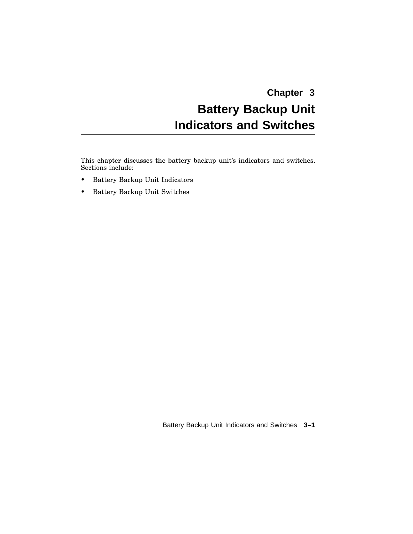# **Chapter 3 Battery Backup Unit Indicators and Switches**

This chapter discusses the battery backup unit's indicators and switches. Sections include:

- Battery Backup Unit Indicators
- Battery Backup Unit Switches

Battery Backup Unit Indicators and Switches **3–1**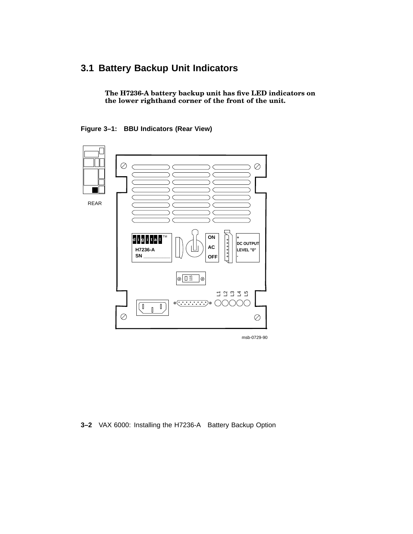# **3.1 Battery Backup Unit Indicators**

**The H7236-A battery backup unit has five LED indicators on the lower righthand corner of the front of the unit.**





msb-0729-90

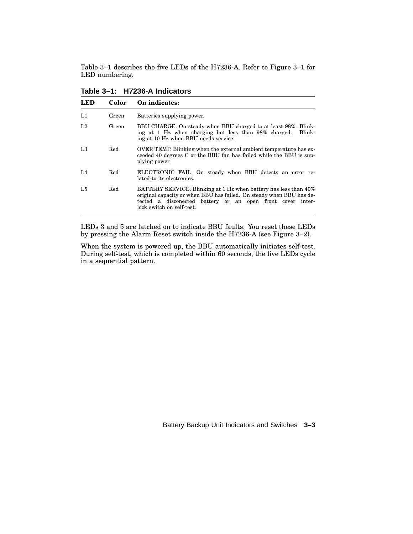Table 3–1 describes the five LEDs of the H7236-A. Refer to Figure 3–1 for LED numbering.

| LED            | Color | On indicates:                                                                                                                                                                                                                       |
|----------------|-------|-------------------------------------------------------------------------------------------------------------------------------------------------------------------------------------------------------------------------------------|
| L1             | Green | Batteries supplying power.                                                                                                                                                                                                          |
| L <sub>2</sub> | Green | BBU CHARGE. On steady when BBU charged to at least 98%. Blink-<br>ing at 1 Hz when charging but less than 98% charged.<br>Blink-<br>ing at 10 Hz when BBU needs service.                                                            |
| L <sub>3</sub> | Red   | <b>OVER TEMP.</b> Blinking when the external ambient temperature has ex-<br>ceeded 40 degrees C or the BBU fan has failed while the BBU is sup-<br>plying power.                                                                    |
| L4             | Red   | ELECTRONIC FAIL. On steady when BBU detects an error re-<br>lated to its electronics.                                                                                                                                               |
| L <sub>5</sub> | Red   | BATTERY SERVICE. Blinking at 1 Hz when battery has less than 40%<br>original capacity or when BBU has failed. On steady when BBU has de-<br>tected a disconected battery or an open front cover inter-<br>lock switch on self-test. |

**Table 3–1: H7236-A Indicators**

LEDs 3 and 5 are latched on to indicate BBU faults. You reset these LEDs by pressing the Alarm Reset switch inside the H7236-A (see Figure 3–2).

When the system is powered up, the BBU automatically initiates self-test. During self-test, which is completed within 60 seconds, the five LEDs cycle in a sequential pattern.

Battery Backup Unit Indicators and Switches **3–3**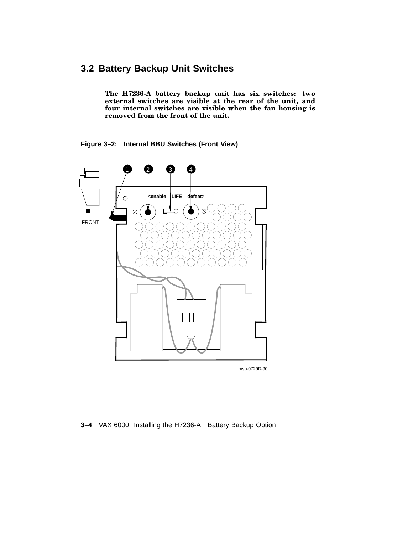## **3.2 Battery Backup Unit Switches**

**The H7236-A battery backup unit has six switches: two external switches are visible at the rear of the unit, and four internal switches are visible when the fan housing is removed from the front of the unit.**

**Figure 3–2: Internal BBU Switches (Front View)**



msb-0729D-90

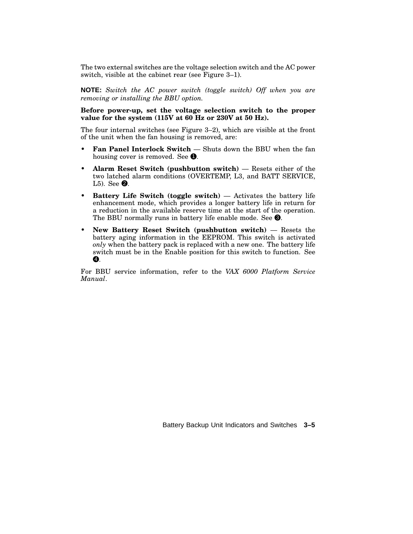The two external switches are the voltage selection switch and the AC power switch, visible at the cabinet rear (see Figure 3–1).

**NOTE:** *Switch the AC power switch (toggle switch) Off when you are removing or installing the BBU option.*

#### **Before power-up, set the voltage selection switch to the proper value for the system (115V at 60 Hz or 230V at 50 Hz).**

The four internal switches (see Figure 3–2), which are visible at the front of the unit when the fan housing is removed, are:

- **Fan Panel Interlock Switch** Shuts down the BBU when the fan housing cover is removed. See  $\bullet$ .
- **Alarm Reset Switch (pushbutton switch)** Resets either of the two latched alarm conditions (OVERTEMP, L3, and BATT SERVICE, L5). See  $\mathbf{\odot}$ .
- **Battery Life Switch (toggle switch)** Activates the battery life enhancement mode, which provides a longer battery life in return for a reduction in the available reserve time at the start of the operation. The BBU normally runs in battery life enable mode. See  $\bigcirc$ .
- **New Battery Reset Switch (pushbutton switch)** Resets the battery aging information in the EEPROM. This switch is activated *only* when the battery pack is replaced with a new one. The battery life switch must be in the Enable position for this switch to function. See  $\boldsymbol{Q}$ .

For BBU service information, refer to the *VAX 6000 Platform Service Manual*.

Battery Backup Unit Indicators and Switches **3–5**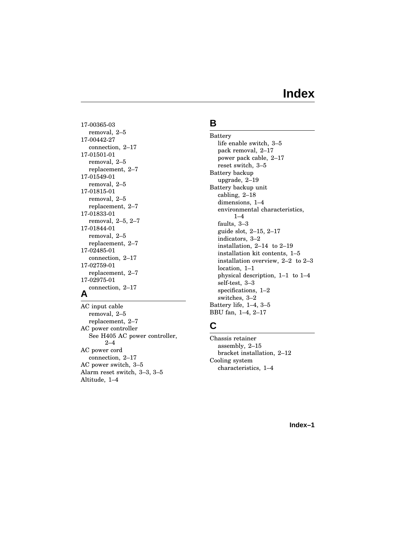# **Index**

17-00365-03 removal, 2–5 17-00442-27 connection, 2–17 17-01501-01 removal, 2–5 replacement, 2–7 17-01549-01 removal, 2–5 17-01815-01 removal, 2–5 replacement, 2–7 17-01833-01 removal, 2–5, 2–7 17-01844-01 removal, 2–5 replacement, 2–7 17-02485-01 connection, 2–17 17-02759-01 replacement, 2–7 17-02975-01 connection, 2–17 **A**

AC input cable removal, 2–5 replacement, 2–7 AC power controller See H405 AC power controller, 2–4 AC power cord connection, 2–17 AC power switch, 3–5 Alarm reset switch, 3–3, 3–5 Altitude, 1–4

## **B**

Battery life enable switch, 3–5 pack removal, 2–17 power pack cable, 2–17 reset switch, 3–5 Battery backup upgrade, 2–19 Battery backup unit cabling, 2–18 dimensions, 1–4 environmental characteristics,  $1 - 4$ faults, 3–3 guide slot, 2–15, 2–17 indicators, 3–2 installation, 2–14 to 2–19 installation kit contents, 1–5 installation overview, 2–2 to 2–3 location, 1–1 physical description, 1–1 to 1–4 self-test, 3–3 specifications, 1–2 switches, 3–2 Battery life, 1–4, 3–5 BBU fan, 1–4, 2–17

## **C**

Chassis retainer assembly, 2–15 bracket installation, 2–12 Cooling system characteristics, 1–4

**Index–1**